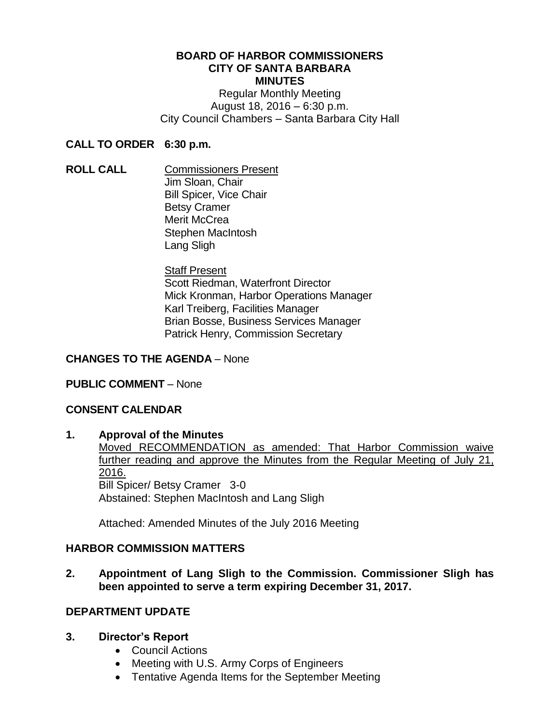#### **BOARD OF HARBOR COMMISSIONERS CITY OF SANTA BARBARA MINUTES**

Regular Monthly Meeting August 18, 2016 – 6:30 p.m. City Council Chambers – Santa Barbara City Hall

### **CALL TO ORDER 6:30 p.m.**

**ROLL CALL** Commissioners Present Jim Sloan, Chair Bill Spicer, Vice Chair Betsy Cramer Merit McCrea Stephen MacIntosh Lang Sligh

> **Staff Present** Scott Riedman, Waterfront Director Mick Kronman, Harbor Operations Manager Karl Treiberg, Facilities Manager Brian Bosse, Business Services Manager Patrick Henry, Commission Secretary

### **CHANGES TO THE AGENDA** – None

### **PUBLIC COMMENT** – None

### **CONSENT CALENDAR**

### **1. Approval of the Minutes**

Moved RECOMMENDATION as amended: That Harbor Commission waive further reading and approve the Minutes from the Regular Meeting of July 21, 2016. Bill Spicer/ Betsy Cramer 3-0 Abstained: Stephen MacIntosh and Lang Sligh

Attached: Amended Minutes of the July 2016 Meeting

### **HARBOR COMMISSION MATTERS**

**2. Appointment of Lang Sligh to the Commission. Commissioner Sligh has been appointed to serve a term expiring December 31, 2017.**

### **DEPARTMENT UPDATE**

### **3. Director's Report**

- Council Actions
- Meeting with U.S. Army Corps of Engineers
- Tentative Agenda Items for the September Meeting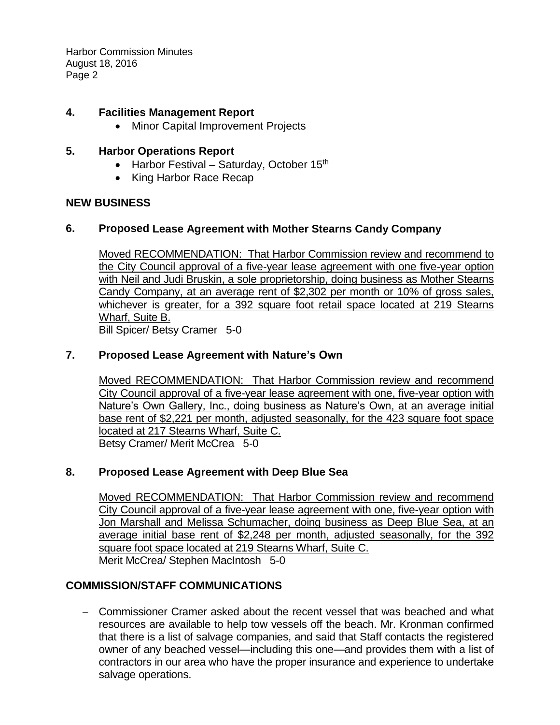Harbor Commission Minutes August 18, 2016 Page 2

### **4. Facilities Management Report**

Minor Capital Improvement Projects

### **5. Harbor Operations Report**

- Harbor Festival Saturday, October  $15<sup>th</sup>$
- King Harbor Race Recap

### **NEW BUSINESS**

### **6. Proposed Lease Agreement with Mother Stearns Candy Company**

Moved RECOMMENDATION: That Harbor Commission review and recommend to the City Council approval of a five-year lease agreement with one five-year option with Neil and Judi Bruskin, a sole proprietorship, doing business as Mother Stearns Candy Company, at an average rent of \$2,302 per month or 10% of gross sales, whichever is greater, for a 392 square foot retail space located at 219 Stearns Wharf, Suite B. Bill Spicer/ Betsy Cramer 5-0

### **7. Proposed Lease Agreement with Nature's Own**

Moved RECOMMENDATION: That Harbor Commission review and recommend City Council approval of a five-year lease agreement with one, five-year option with Nature's Own Gallery, Inc., doing business as Nature's Own, at an average initial base rent of \$2,221 per month, adjusted seasonally, for the 423 square foot space located at 217 Stearns Wharf, Suite C. Betsy Cramer/ Merit McCrea 5-0

## **8. Proposed Lease Agreement with Deep Blue Sea**

Moved RECOMMENDATION:That Harbor Commission review and recommend City Council approval of a five-year lease agreement with one, five-year option with Jon Marshall and Melissa Schumacher, doing business as Deep Blue Sea, at an average initial base rent of \$2,248 per month, adjusted seasonally, for the 392 square foot space located at 219 Stearns Wharf, Suite C. Merit McCrea/ Stephen MacIntosh 5-0

## **COMMISSION/STAFF COMMUNICATIONS**

 Commissioner Cramer asked about the recent vessel that was beached and what resources are available to help tow vessels off the beach. Mr. Kronman confirmed that there is a list of salvage companies, and said that Staff contacts the registered owner of any beached vessel—including this one—and provides them with a list of contractors in our area who have the proper insurance and experience to undertake salvage operations.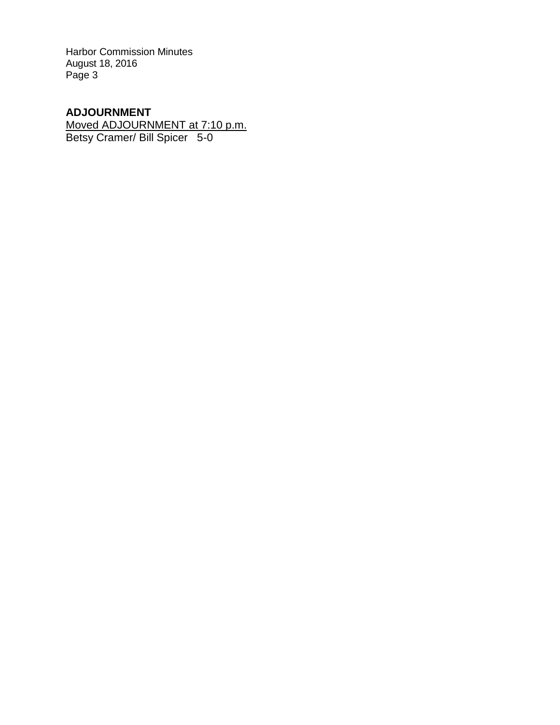Harbor Commission Minutes August 18, 2016 Page 3

# **ADJOURNMENT**

Moved ADJOURNMENT at 7:10 p.m. Betsy Cramer/ Bill Spicer 5-0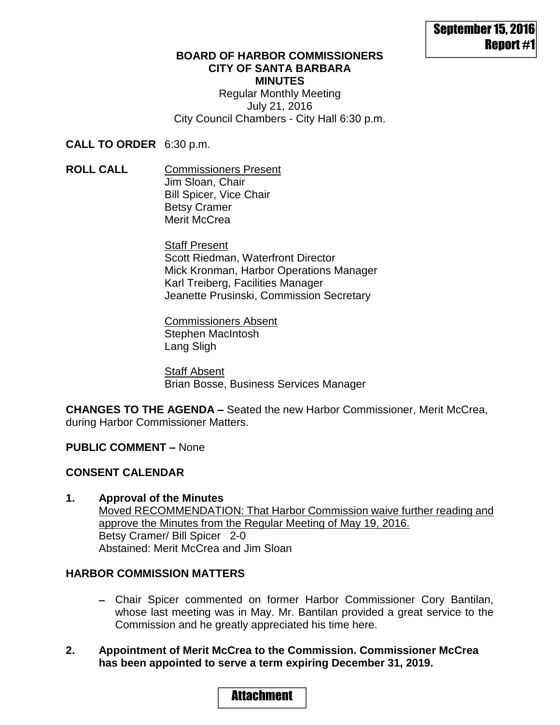### **BOARD OF HARBOR COMMISSIONERS CITY OF SANTA BARBARA MINUTES** Regular Monthly Meeting July 21, 2016

City Council Chambers - City Hall 6:30 p.m.

**CALL TO ORDER** 6:30 p.m.

**ROLL CALL** Commissioners Present Jim Sloan, Chair Bill Spicer, Vice Chair Betsy Cramer Merit McCrea

> **Staff Present** Scott Riedman, Waterfront Director Mick Kronman, Harbor Operations Manager Karl Treiberg, Facilities Manager Jeanette Prusinski, Commission Secretary

Commissioners Absent Stephen MacIntosh Lang Sligh

**Staff Absent** Brian Bosse, Business Services Manager

**CHANGES TO THE AGENDA –** Seated the new Harbor Commissioner, Merit McCrea, during Harbor Commissioner Matters.

### **PUBLIC COMMENT –** None

## **CONSENT CALENDAR**

**1. Approval of the Minutes** Moved RECOMMENDATION: That Harbor Commission waive further reading and approve the Minutes from the Regular Meeting of May 19, 2016. Betsy Cramer/ Bill Spicer 2-0 Abstained: Merit McCrea and Jim Sloan

## **HARBOR COMMISSION MATTERS**

- Chair Spicer commented on former Harbor Commissioner Cory Bantilan, whose last meeting was in May. Mr. Bantilan provided a great service to the Commission and he greatly appreciated his time here.
- **2. Appointment of Merit McCrea to the Commission. Commissioner McCrea has been appointed to serve a term expiring December 31, 2019.**

# Attachment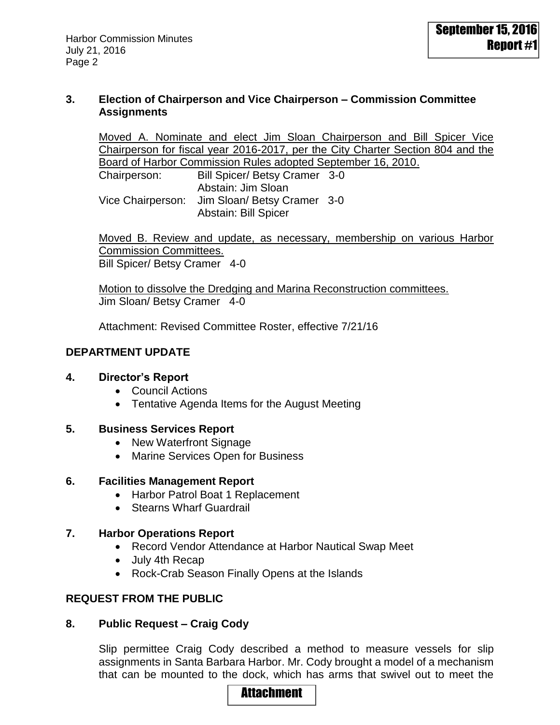### **3. Election of Chairperson and Vice Chairperson – Commission Committee Assignments**

Moved A. Nominate and elect Jim Sloan Chairperson and Bill Spicer Vice Chairperson for fiscal year 2016-2017, per the City Charter Section 804 and the Board of Harbor Commission Rules adopted September 16, 2010.

Chairperson: Bill Spicer/ Betsy Cramer 3-0 Abstain: Jim Sloan Vice Chairperson: Jim Sloan/ Betsy Cramer 3-0 Abstain: Bill Spicer

Moved B. Review and update, as necessary, membership on various Harbor Commission Committees. Bill Spicer/ Betsy Cramer 4-0

Motion to dissolve the Dredging and Marina Reconstruction committees. Jim Sloan/ Betsy Cramer 4-0

Attachment: Revised Committee Roster, effective 7/21/16

## **DEPARTMENT UPDATE**

### **4. Director's Report**

- Council Actions
- Tentative Agenda Items for the August Meeting

### **5. Business Services Report**

- New Waterfront Signage
- Marine Services Open for Business

### **6. Facilities Management Report**

- Harbor Patrol Boat 1 Replacement
- Stearns Wharf Guardrail

## **7. Harbor Operations Report**

- Record Vendor Attendance at Harbor Nautical Swap Meet
- July 4th Recap
- Rock-Crab Season Finally Opens at the Islands

## **REQUEST FROM THE PUBLIC**

## **8. Public Request – Craig Cody**

Slip permittee Craig Cody described a method to measure vessels for slip assignments in Santa Barbara Harbor. Mr. Cody brought a model of a mechanism that can be mounted to the dock, which has arms that swivel out to meet the